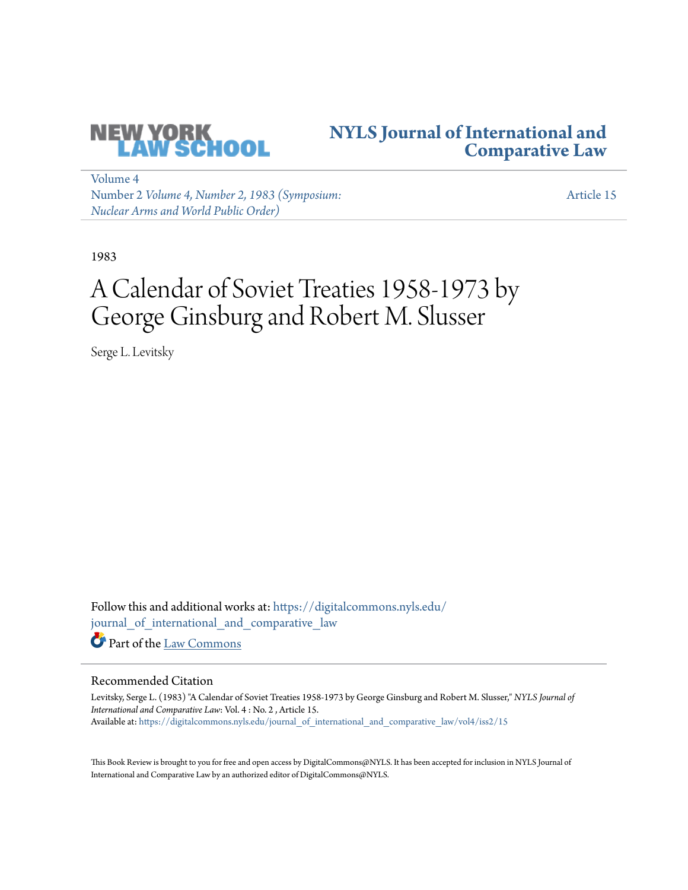

# **[NYLS Journal of International and](https://digitalcommons.nyls.edu/journal_of_international_and_comparative_law?utm_source=digitalcommons.nyls.edu%2Fjournal_of_international_and_comparative_law%2Fvol4%2Fiss2%2F15&utm_medium=PDF&utm_campaign=PDFCoverPages) [Comparative Law](https://digitalcommons.nyls.edu/journal_of_international_and_comparative_law?utm_source=digitalcommons.nyls.edu%2Fjournal_of_international_and_comparative_law%2Fvol4%2Fiss2%2F15&utm_medium=PDF&utm_campaign=PDFCoverPages)**

[Volume 4](https://digitalcommons.nyls.edu/journal_of_international_and_comparative_law/vol4?utm_source=digitalcommons.nyls.edu%2Fjournal_of_international_and_comparative_law%2Fvol4%2Fiss2%2F15&utm_medium=PDF&utm_campaign=PDFCoverPages) Number 2 *[Volume 4, Number 2, 1983 \(Symposium:](https://digitalcommons.nyls.edu/journal_of_international_and_comparative_law/vol4/iss2?utm_source=digitalcommons.nyls.edu%2Fjournal_of_international_and_comparative_law%2Fvol4%2Fiss2%2F15&utm_medium=PDF&utm_campaign=PDFCoverPages) [Nuclear Arms and World Public Order\)](https://digitalcommons.nyls.edu/journal_of_international_and_comparative_law/vol4/iss2?utm_source=digitalcommons.nyls.edu%2Fjournal_of_international_and_comparative_law%2Fvol4%2Fiss2%2F15&utm_medium=PDF&utm_campaign=PDFCoverPages)*

[Article 15](https://digitalcommons.nyls.edu/journal_of_international_and_comparative_law/vol4/iss2/15?utm_source=digitalcommons.nyls.edu%2Fjournal_of_international_and_comparative_law%2Fvol4%2Fiss2%2F15&utm_medium=PDF&utm_campaign=PDFCoverPages)

1983

# A Calendar of Soviet Treaties 1958-1973 by George Ginsburg and Robert M. Slusser

Serge L. Levitsky

Follow this and additional works at: [https://digitalcommons.nyls.edu/](https://digitalcommons.nyls.edu/journal_of_international_and_comparative_law?utm_source=digitalcommons.nyls.edu%2Fjournal_of_international_and_comparative_law%2Fvol4%2Fiss2%2F15&utm_medium=PDF&utm_campaign=PDFCoverPages) [journal\\_of\\_international\\_and\\_comparative\\_law](https://digitalcommons.nyls.edu/journal_of_international_and_comparative_law?utm_source=digitalcommons.nyls.edu%2Fjournal_of_international_and_comparative_law%2Fvol4%2Fiss2%2F15&utm_medium=PDF&utm_campaign=PDFCoverPages) Part of the [Law Commons](http://network.bepress.com/hgg/discipline/578?utm_source=digitalcommons.nyls.edu%2Fjournal_of_international_and_comparative_law%2Fvol4%2Fiss2%2F15&utm_medium=PDF&utm_campaign=PDFCoverPages)

## Recommended Citation

Levitsky, Serge L. (1983) "A Calendar of Soviet Treaties 1958-1973 by George Ginsburg and Robert M. Slusser," *NYLS Journal of International and Comparative Law*: Vol. 4 : No. 2 , Article 15. Available at: [https://digitalcommons.nyls.edu/journal\\_of\\_international\\_and\\_comparative\\_law/vol4/iss2/15](https://digitalcommons.nyls.edu/journal_of_international_and_comparative_law/vol4/iss2/15?utm_source=digitalcommons.nyls.edu%2Fjournal_of_international_and_comparative_law%2Fvol4%2Fiss2%2F15&utm_medium=PDF&utm_campaign=PDFCoverPages)

This Book Review is brought to you for free and open access by DigitalCommons@NYLS. It has been accepted for inclusion in NYLS Journal of International and Comparative Law by an authorized editor of DigitalCommons@NYLS.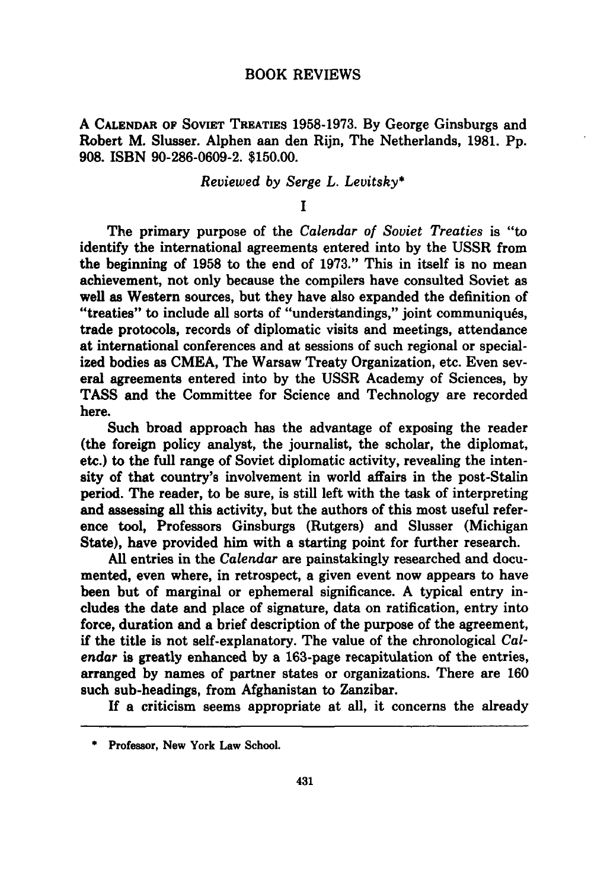### BOOK REVIEWS

**A CALENDAR OF** SOVIET TREATIES **1958-1973. By** George Ginsburgs and Robert M. Slusser. Alphen aan den Rijn, The Netherlands, **1981. Pp. 908. ISBN 90-286-0609-2. \$150.00.**

### *Reviewed by Serge L. Levitsky\**

**I**

The primary purpose of the *Calendar of Soviet Treaties* is "to identify the international agreements entered into **by** the **USSR** from the beginning of **1958** to the end of **1973."** This in itself is no mean achievement, not only because the compilers have consulted Soviet as well as Western sources, but they have also expanded the definition of "treaties" to include all sorts of "understandings," joint communiqués, trade protocols, records of diplomatic visits and meetings, attendance at international conferences and at sessions of such regional or specialized bodies as **CMEA,** The Warsaw Treaty Organization, etc. Even several agreements entered into **by** the **USSR** Academy of Sciences, **by TASS** and the Committee for Science and Technology are recorded here.

Such broad approach has the advantage of exposing the reader (the foreign policy analyst, the journalist, the scholar, the diplomat, etc.) to the full range of Soviet diplomatic activity, revealing the intensity of that country's involvement in world affairs in the post-Stalin period. The reader, to be sure, is still left with the task of interpreting and assessing all this activity, but the authors of this most useful reference tool, Professors Ginsburgs (Rutgers) and Slusser (Michigan State), have provided him with a starting point for further research.

**All** entries in the *Calendar* are painstakingly researched and documented, even where, in retrospect, a given event now appears to have been but of marginal or ephemeral significance. **A** typical entry includes the date and place of signature, data on ratification, entry into force, duration and a brief description of the purpose of the agreement, if the title is not self-explanatory. The value of the chronological *Calendar* is greatly enhanced **by** a 163-page recapitulation of the entries, arranged **by** names of partner states or organizations. There are **160** such sub-headings, from Afghanistan to Zanzibar.

**If** a criticism seems appropriate at all, it concerns the already

**<sup>\*</sup>** Professor, New York Law School.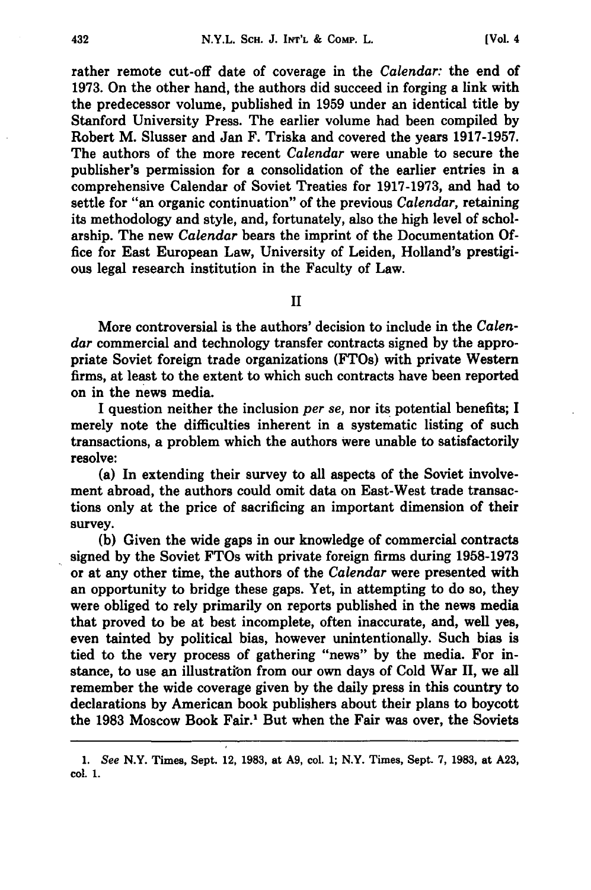rather remote cut-off date of coverage in the *Calendar:* the end of **1973.** On the other hand, the authors did succeed in forging a link with the predecessor volume, published in **1959** under an identical title **by** Stanford University Press. The earlier volume had been compiled **by** Robert M. Slusser and Jan F. Triska and covered the years **1917-1957.** The authors of the more recent *Calendar* were unable to secure the publisher's permission for a consolidation of the earlier entries in a comprehensive Calendar of Soviet Treaties for **1917-1973,** and had to settle for "an organic continuation" of the previous *Calendar,* retaining its methodology and style, and, fortunately, also the high level of scholarship. The new *Calendar* bears the imprint of the Documentation **Of**fice for East European Law, University of Leiden, Holland's prestigious legal research institution in the Faculty of Law.

**II**

More controversial is the authors' decision to include in the *Calendar* commercial and technology transfer contracts signed **by** the appropriate Soviet foreign trade organizations (FTOs) with private Western firms, at least to the extent to which such contracts have been reported on in the news media.

I question neither the inclusion *per se,* nor its potential benefits; I merely note the difficulties inherent in a systematic listing of such transactions, a problem which the authors were unable to satisfactorily resolve:

(a) In extending their survey to all aspects of the Soviet involvement abroad, the authors could omit data on East-West trade transactions only at the price of sacrificing an important dimension of their survey.

**(b)** Given the wide gaps in our knowledge of commercial contracts signed **by** the Soviet FTOs with private foreign firms during **1958-1973** or at any other time, the authors of the *Calendar* were presented with an opportunity to bridge these gaps. Yet, in attempting to do so, they were obliged to rely primarily on reports published in the news media that proved to be at best incomplete, often inaccurate, and, **well** yes, even tainted **by** political bias, however unintentionally. Such bias is tied to the very process of gathering "news" **by** the media. For instance, to use an illustration from our own days of Cold War II, we all remember the wide coverage given **by** the daily press in this country to declarations **by** American book publishers about their plans to boycott the **1983** Moscow Book Fair.' But when the Fair was over, the Soviets

*<sup>1.</sup> See* N.Y. Times, Sept. 12, **1983,** at **A9,** col. **1;** N.Y. Times, Sept. **7, 1983,** at **A23, col. 1.**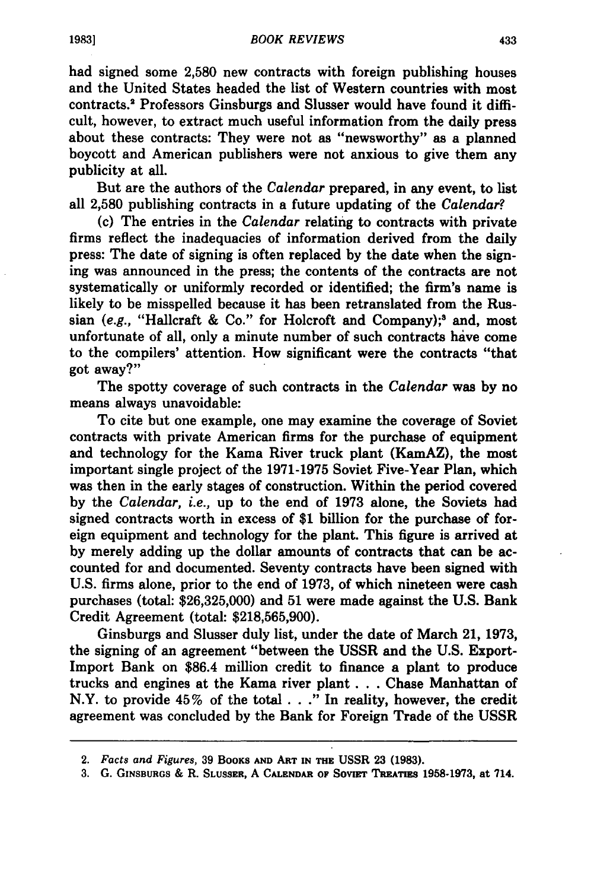had signed some **2,580** new contracts with foreign publishing houses and the United States headed the list of Western countries with most contracts.' Professors Ginsburgs and Slusser would have found it difficult, however, to extract much useful information from the daily press about these contracts: They were not as "newsworthy" as a planned boycott and American publishers were not anxious to give them any publicity at all.

But are the authors of the *Calendar* prepared, in any event, to list all **2,580** publishing contracts in a future updating of the *Calendar?*

**(c)** The entries in the *Calendar* relating to contracts with private firms reflect the inadequacies of information derived from the daily press: The date of signing is often replaced **by** the date when the signing was announced in the press; the contents of the contracts are not systematically or uniformly recorded or identified; the firm's name is likely to be misspelled because it has been retranslated from the Russian (e.g., "Hallcraft & Co." for Holcroft and Company);<sup>3</sup> and, most unfortunate of all, only a minute number of such contracts have come to the compilers' attention. How significant were the contracts "that got away?"

The spotty coverage of such contracts in the *Calendar* was **by** no means always unavoidable:

To cite but one example, one may examine the coverage of Soviet contracts with private American firms for the purchase of equipment and technology for the Kama River truck plant (KamAZ), the most important single project of the **1971-1975** Soviet Five-Year Plan, which was then in the early stages of construction. Within the period covered **by** the *Calendar, i.e.,* up to the end of **1973** alone, the Soviets had signed contracts worth in excess of **\$1** billion for the purchase of foreign equipment and technology for the plant. This figure is arrived at **by** merely adding up the dollar amounts of contracts that can be accounted for and documented. Seventy contracts have been signed with **U.S.** firms alone, prior to the end of **1973,** of which nineteen were cash purchases (total: **\$26,325,000)** and **51** were made against the **U.S.** Bank Credit Agreement (total: **\$218,565,900).**

Ginsburgs and Slusser duly list, under the date of March 21, **1973,** the signing of an agreement "between the **USSR** and the **U.S.** Export-Import Bank on \$86.4 million credit to finance a plant to produce trucks and engines at the Kama river plant. **. .** Chase Manhattan of N.Y. to provide 45% of the total. **. ."** In reality, however, the credit agreement was concluded **by** the Bank for Foreign Trade of the **USSR**

*<sup>2.</sup> Facts and Figures,* **39 BOOKS AND** ART **IN THE USSR 23 (1983).**

<sup>3.</sup> G. GINSBURGS & R. SLUSSER, A CALENDAR OF SOVIET TREATIES 1958-1973, at 714.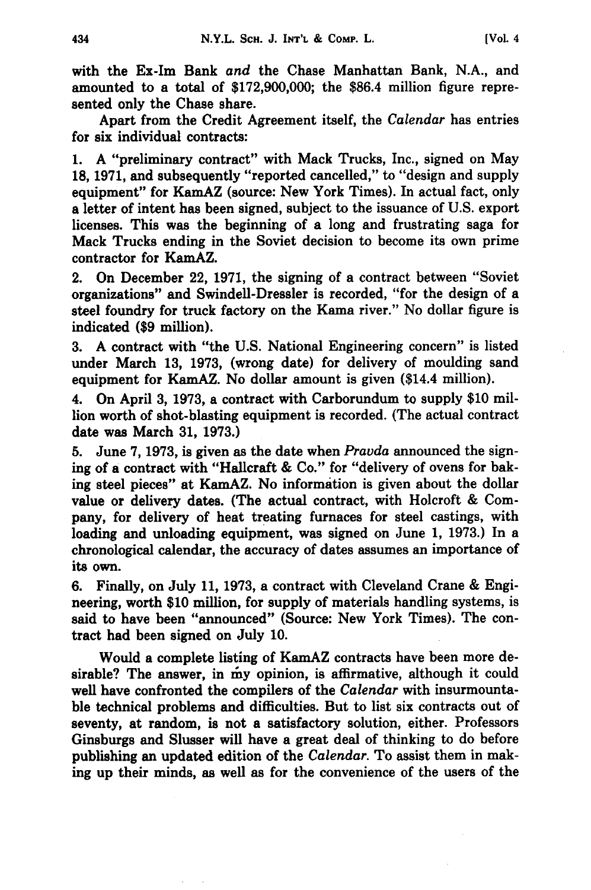with the Ex-Im Bank *and* the Chase Manhattan Bank, **N.A.,** and amounted to a total of \$172,900,000; the \$86.4 million figure represented only the Chase share.

Apart from the Credit Agreement itself, the *Calendar* has entries for six individual contracts:

1. A "preliminary contract" with Mack Trucks, Inc., signed on May 18, 1971, and subsequently "reported cancelled," to "design and supply equipment" for KamAZ (source: New York Times). In actual fact, only a letter of intent has been signed, subject to the issuance of U.S. export licenses. This was the beginning of a long and frustrating saga for Mack Trucks ending in the Soviet decision to become its own prime contractor for KamAZ.

2. On December 22, 1971, the signing of a contract between "Soviet organizations" and Swindell-Dressler is recorded, "for the design of a steel foundry for truck factory on the Kama river." No dollar figure is indicated **(\$9** million).

**3. A** contract with "the **U.S.** National Engineering concern" is listed under March **13, 1973,** (wrong date) for delivery of moulding sand equipment for KamAZ. No dollar amount is given (\$14.4 million).

4. On April **3, 1973,** a contract with Carborundum to supply **\$10** million worth of shot-blasting equipment is recorded. (The actual contract date was March **31, 1973.)**

**5.** June **7, 1973,** is given as the date when *Pravda* announced the signing of a contract with "Hallcraft **&** Co." for "delivery of ovens for baking steel pieces" at KamAZ. No information is given about the dollar value or delivery dates. (The actual contract, with Holcroft **&** Company, for delivery of heat treating furnaces for steel castings, with loading and unloading equipment, was signed on June **1, 1973.)** In a chronological calendar, the accuracy of dates assumes an importance of its own.

**6.** Finally, on July **11, 1973,** a contract with Cleveland Crane **&** Engineering, worth **\$10** million, for supply of materials handling systems, is said to have been "announced" (Source: New York Times). The contract had been signed on July **10.**

Would a complete listing of KamAZ contracts have been more desirable? The answer, in my opinion, is affirmative, although it could well have confronted the compilers of the *Calendar* with insurmountable technical problems and difficulties. But to list six contracts out of seventy, at random, is not a satisfactory solution, either. Professors Ginsburgs and Slusser will have a great deal of thinking to do before publishing an updated edition of the *Calendar.* To assist them in making up their minds, as well as for the convenience of the users of the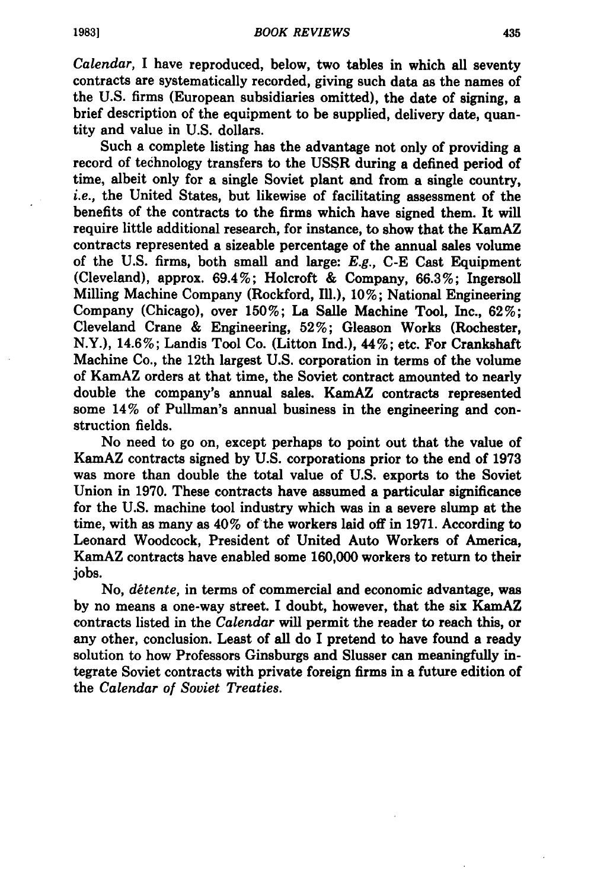*Calendar,* I have reproduced, below, two tables in which all seventy contracts are systematically recorded, giving such data as the names of the **U.S.** firms (European subsidiaries omitted), the date of signing, a brief description of the equipment to be supplied, delivery date, quantity and value in **U.S.** dollars.

Such a complete listing has the advantage not only of providing a record of technology transfers to the **USSR** during a defined period of time, albeit only for a single Soviet plant and from a single country, *i.e.,* the United States, but likewise of facilitating assessment of the benefits of the contracts to the firms which have signed them. It **will** require little additional research, for instance, to show that the KamAZ contracts represented a sizeable percentage of the annual sales volume of the **U.S.** firms, both small and large: *E.g.,* **C-E** Cast Equipment (Cleveland), approx. 69.4%; Holcroft **&** Company, **66.3%;** Ingersoll Milling Machine Company (Rockford, **11.), 10%;** National Engineering Company (Chicago), over **150%;** La Salle Machine Tool, Inc., **62%;** Cleveland Crane **&** Engineering, **52%;** Gleason Works (Rochester, N.Y.), 14.6%; Landis Tool Co. (Litton Ind.), 44%; etc. For Crankshaft Machine Co., the 12th largest **U.S.** corporation in terms of the volume of KamAZ orders at that time, the Soviet contract amounted to nearly double the company's annual sales. KamAZ contracts represented some 14% of Pullman's annual business in the engineering and construction fields.

No need to go on, except perhaps to point out that the value of KamAZ contracts signed **by U.S.** corporations prior to the end of **1973** was more than double the total value of **U.S.** exports to the Soviet Union in **1970.** These contracts have assumed a particular significance for the **U.S.** machine tool industry which was in a severe slump at the time, with as many as 40% of the workers laid off in **1971.** According to Leonard Woodcock, President of United Auto Workers of America, KamAZ contracts have enabled some **160,000** workers to return to their jobs.

No, *détente*, in terms of commercial and economic advantage, was **by** no means a one-way street. **I** doubt, however, that the six KamAZ contracts listed in the *Calendar* will permit the reader to reach this, or any other, conclusion. Least of all do I pretend to have found a ready solution to how Professors Ginsburgs and Slusser can meaningfully integrate Soviet contracts with private foreign firms in a future edition of the *Calendar of Soviet Treaties.*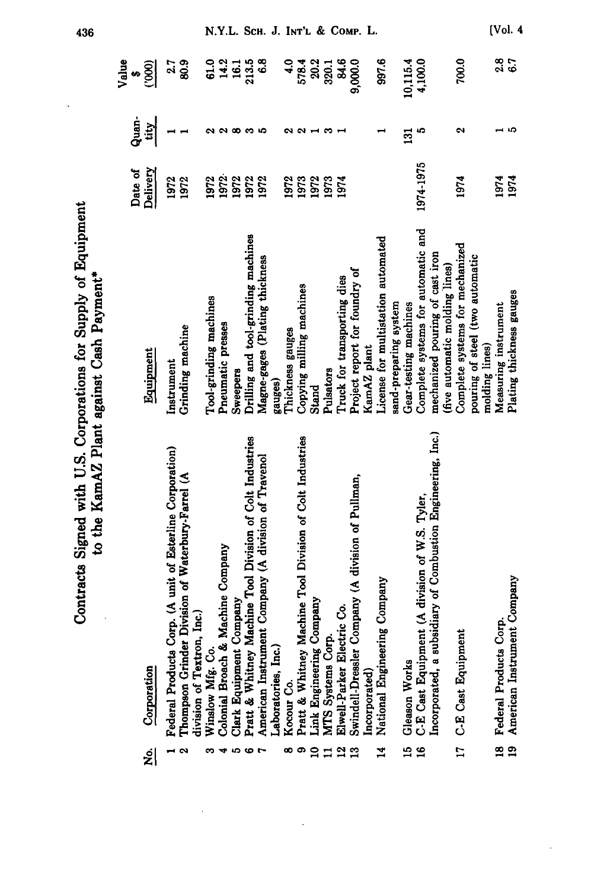|                           | Contracts Signed with U.S. Corporations for Supply of Equipment                                                                                      | to the KamAZ Plant against Cash Payment*                                                                |                     |                       |                             |  |
|---------------------------|------------------------------------------------------------------------------------------------------------------------------------------------------|---------------------------------------------------------------------------------------------------------|---------------------|-----------------------|-----------------------------|--|
| اغ                        | Corporation                                                                                                                                          | Equipment                                                                                               | Delivery<br>Date of | Quan<br>Q<br>tity     | Value<br>(000)<br>$\bullet$ |  |
|                           | Corp. (A unit of Esterline Corporation)<br>Thompson Grinder Division of Waterbury-Farrel (A<br>division of Textron, Inc.)<br><b>Federal Products</b> | Grinding machine<br>Instrument                                                                          | 1972<br>1972        |                       | $2.7$<br>80.9               |  |
| ÷<br>∞                    | & Machine Company<br>Winslow Mfg. Co<br><b>Colonial Broach</b>                                                                                       | Tool-grinding machines<br>Pneumatic presses                                                             | 1972<br>1972        | W                     | $14.2$<br>16.1<br>61.0      |  |
| စ                         | Machine Tool Division of Colt Industries<br>Company<br>Clark Equipment<br>Pratt & Whitney                                                            | Drilling and tool-grinding machines<br>Sweepers                                                         | 1972<br>1972        | လထက                   | 213.5                       |  |
| $\overline{ }$            | ment Company (A division of Travenol<br>Laboratories, Inc.<br>American Instrui                                                                       | Magne-gages (Plating thickness<br>gauges)                                                               | 1972                | S                     | 6.8                         |  |
| စ<br>œ                    | Machine Tool Division of Colt Industries<br>Pratt & Whitney<br>Kocour Co.                                                                            | Copying milling machines<br>Thickness gauges                                                            | 1972<br>1973        | ິ<br>$\sim$           | $\ddot{•}$<br>578.4         |  |
| $\mathbf{a}$              | g Company<br>Link Engineering                                                                                                                        | Stand                                                                                                   | 1972                |                       | 20.2                        |  |
| $\mathbf{r}$              | ectric Co.<br>MTS Systems Corp.<br>Elwell-Parker El                                                                                                  | Truck for transporting dies<br>Pulsators                                                                | 1973<br>1974        | S                     | 84.6<br>320.1               |  |
|                           | Swindell-Dressler Company (A division of Pullman,<br>Incorporated)                                                                                   | Project report for foundry of<br>KamAZ plant                                                            |                     |                       | 9,000.0                     |  |
| $\mathbf{z}$              | ering Company<br>National Enginee                                                                                                                    | License for multistation automated<br>sand-preparing system                                             |                     |                       | 997.6                       |  |
| $\frac{15}{2}$            | Gleason Works                                                                                                                                        | Gear-testing machines                                                                                   |                     | 131                   | 10,115.4                    |  |
| $\overline{16}$           | Incorporated, a subsidiary of Combustion Engineering, Inc.)<br>C-E Cast Equipment (A division of W.S. Tyler,                                         | Complete systems for automatic and<br>mechanized pouring of cast iron<br>(five automatic molding lines) | 1974-1975           | ç                     | 4,100.0                     |  |
| $\overline{17}$           | ment<br>C-E Cast Equipr                                                                                                                              | Complete systems for mechanized<br>pouring of steel (two automatic<br>molding lines)                    | 1974                | $\tilde{\phantom{a}}$ | 700.0                       |  |
| <u>ფ</u><br>$\frac{9}{2}$ | American Instrument Company<br>Federal Products Corp.                                                                                                | Plating thickness gauges<br>Measuring instrument                                                        | 1974<br>1974        | £,                    | 2.8<br>6.7                  |  |

436

N.Y.L. SCH. J. INT'L & COMP. L.

 $[Vol. 4]$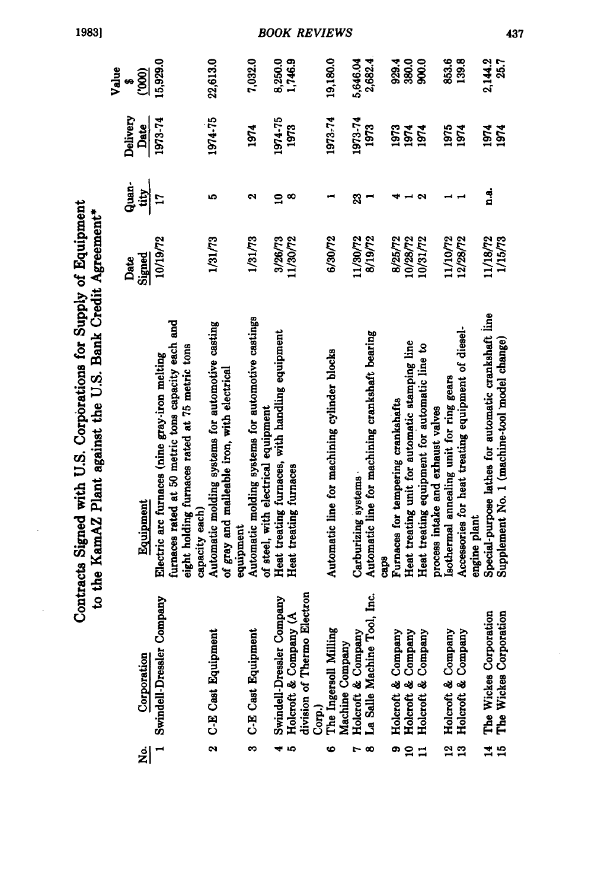|                                                                                                                               | Value | se       | $\frac{1}{2}$ | 15,929.0                                      |                                                                                                      |                | 22,613.0                                         |                                                          | 7,032.0                                           |                                     | 8,250.0                                         | 1,746.9                |                             | 19,180.0                                     |                 | 5,646.04                                          | 2,682.4                                         |             | 929.4                              | 380.0                                          | 900.0                                         |                                   | 853.6                                    | 139.8                                              |              | 2,144.2                                              | 25.7                                         |
|-------------------------------------------------------------------------------------------------------------------------------|-------|----------|---------------|-----------------------------------------------|------------------------------------------------------------------------------------------------------|----------------|--------------------------------------------------|----------------------------------------------------------|---------------------------------------------------|-------------------------------------|-------------------------------------------------|------------------------|-----------------------------|----------------------------------------------|-----------------|---------------------------------------------------|-------------------------------------------------|-------------|------------------------------------|------------------------------------------------|-----------------------------------------------|-----------------------------------|------------------------------------------|----------------------------------------------------|--------------|------------------------------------------------------|----------------------------------------------|
|                                                                                                                               |       | Delivery | Date          | 1973-74                                       |                                                                                                      |                | 1974-75                                          |                                                          | 1974                                              |                                     | 1974-75                                         | 1973                   |                             | 1973-74                                      |                 | 1973-74                                           | 1973                                            |             | 1973                               | 1974                                           | 1974                                          |                                   | 1975                                     | 1974                                               |              | 1974                                                 | 1974                                         |
|                                                                                                                               |       | Guan.    | tity          | $\mathbf{r}$                                  |                                                                                                      |                | مە                                               |                                                          | N                                                 |                                     | $\mathbf{a}$                                    | $\infty$               |                             |                                              |                 | 23                                                | $\blacksquare$                                  |             |                                    |                                                | − ∾                                           |                                   |                                          |                                                    |              | ្មុជ                                                 |                                              |
|                                                                                                                               |       | Date     | Signed        | 10/19/72                                      |                                                                                                      |                | 1/31/73                                          |                                                          | 1/31/73                                           |                                     | 3/26/73                                         | 11/30/72               |                             | 6/30/72                                      |                 | 11/30/72                                          | 8/19/72                                         |             | 8/25/72                            | 10/28/72                                       | 10/31/72                                      |                                   | 11/10/72                                 | 12/28/72                                           |              | 11/18/72                                             | 1/15/73                                      |
| Contracts Signed with U.S. Corporations for Supply of Equipment<br>to the KamAZ Plant against the U.S. Bank Credit Agreement* |       |          | Equipment     | Electric arc furnaces (nine gray-iron melting | furnaces rated at 50 metric tons capacity each and<br>eight holding furnaces rated at 75 metric tons | capacity each) | Automatic molding systems for automotive casting | of gray and malleable iron, with electrical<br>equipment | Automatic molding systems for automotive castings | of steel, with electrical equipment | Heat treating furnaces, with handling equipment | Heat treating furnaces |                             | Automatic line for machining cylinder blocks |                 | Carburizing systems                               | Automatic line for machining crankshaft bearing | <b>Caps</b> | Furnaces for tempering crankshafts | Heat treating unit for automatic stamping line | Heat treating equipment for automatic line to | process intake and exhaust valves | Isothermal annealing unit for ring gears | Accessories for heat treating equipment of diesel- | engine plant | Special-purpose lathes for automatic crankshaft line | Supplement No. 1 (machine-tool model change) |
|                                                                                                                               |       |          | Corporation   | Swindell-Dressler Company                     |                                                                                                      |                | <b>C-E Cast Equipment</b>                        |                                                          | <b>C-E Cast Equipment</b>                         |                                     | Swindell-Dressler Company                       | Holcroft & Company (A  | division of Thermo Electron | Milling<br>Corp.)<br>The Ingersoll <b>h</b>  | Machine Company | Holcroft & Company<br>La Salle Machine Tool, Inc. |                                                 |             | Holcroft & Company                 |                                                | Holcroft & Company<br>Holcroft & Company      |                                   | Holcroft & Company                       | Holcroft & Company                                 |              | The Wickes Corporation<br>The Wickes Corporation     |                                              |
|                                                                                                                               |       |          | افع<br>ا      | $\overline{\phantom{0}}$                      |                                                                                                      |                | 2                                                |                                                          | က                                                 |                                     |                                                 | 45                     |                             | 6                                            |                 | م -،                                              |                                                 |             | œ                                  | å                                              | $\mathbf{I}$                                  |                                   | $\frac{2}{13}$                           |                                                    |              | $\overline{1}$                                       | 15                                           |

1983]

 $\ddot{\phantom{a}}$ 

**BOOK REVIEWS** 

437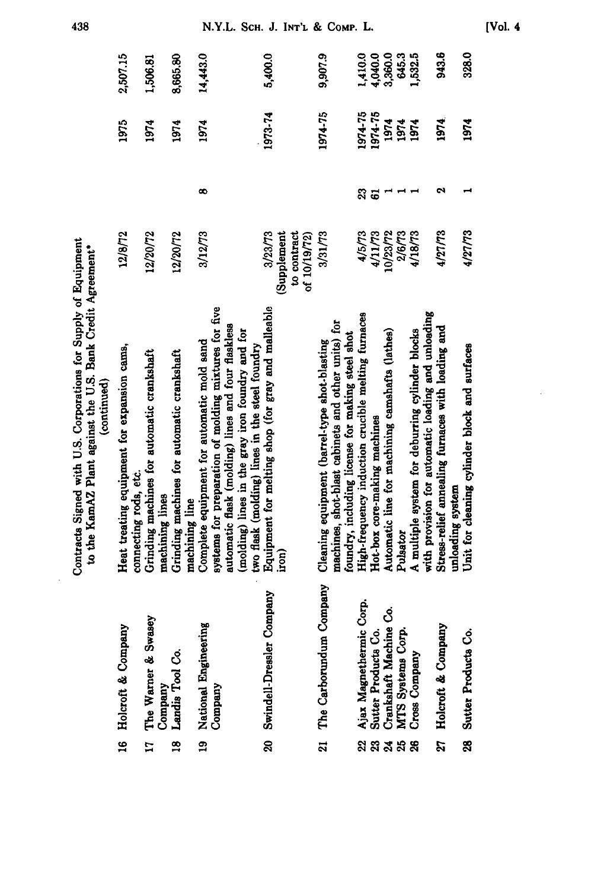|                                                                                                                                              | 2,507.15<br>1975                                                     | 1,506.81<br>1974                                              | 8,665.80<br>1974                                             | 14,443.0<br>1974                                                                                   |                                                                                                        | 5,400.0<br>1973-74                                                                                   |                                             | 9,907.9<br>1974-75                                                                                  | 1,410.0<br>1974-75                                                                                     | 4,040.0<br>1974-75           | 3,360.0<br>1974                                 | 645.3<br>1974 | 1,532.5<br>1974                                                                                                | 943.6<br>1974                                                                                           | 328.0<br>1974                                                     |
|----------------------------------------------------------------------------------------------------------------------------------------------|----------------------------------------------------------------------|---------------------------------------------------------------|--------------------------------------------------------------|----------------------------------------------------------------------------------------------------|--------------------------------------------------------------------------------------------------------|------------------------------------------------------------------------------------------------------|---------------------------------------------|-----------------------------------------------------------------------------------------------------|--------------------------------------------------------------------------------------------------------|------------------------------|-------------------------------------------------|---------------|----------------------------------------------------------------------------------------------------------------|---------------------------------------------------------------------------------------------------------|-------------------------------------------------------------------|
|                                                                                                                                              |                                                                      |                                                               |                                                              | $\infty$                                                                                           |                                                                                                        |                                                                                                      |                                             |                                                                                                     | 23                                                                                                     | $\ddot{\circ}$               |                                                 | $- -$         |                                                                                                                | ø                                                                                                       |                                                                   |
|                                                                                                                                              | 12/8/72                                                              | 12/20/72                                                      | 12/20/72                                                     | 3/12/73                                                                                            |                                                                                                        | 3/23/73                                                                                              | (Supplement<br>to contract<br>of $10/19/72$ | 3/31/73                                                                                             | 4/5/73                                                                                                 | 4/11/73                      | 10/23/72                                        | 2/6/73        | 4/18/73                                                                                                        | 4/27/73                                                                                                 | 4/27/73                                                           |
| Contracts Signed with U.S. Corporations for Supply of Equipment<br>to the KamAZ Plant against the U.S. Bank Credit Agreement*<br>(continued) | Heat treating equipment for expansion cams,<br>connecting rods, etc. | Grinding machines for automatic crankshaft<br>machining lines | Grinding machines for automatic crankshaft<br>machining line | systems for preparation of molding mixtures for five<br>Complete equipment for automatic mold sand | automatic flask (molding) lines and four flaskless<br>(molding) lines in the gray iron foundry and for | Equipment for melting shop (for gray and malleable<br>two flask (molding) lines in the steel foundry | iron)                                       | machines, shot-blast cabinets and other units) for<br>Cleaning equipment (barrel-type shot-blasting | High-frequency induction crucible melting furnaces<br>foundry, including license for making steel shot | Hot-box core-making machines | Automatic line for machining camshafts (lathes) | Pulsator      | A multiple system for deburring cylinder blocks                                                                | with provision for automatic loading and unloading<br>Stress-relief annealing furnaces with loading and | Unit for cleaning cylinder block and surfaces<br>unloading system |
|                                                                                                                                              | Holcroft & Company                                                   | Swasey<br>The Warner & S<br>Company<br>Landis Tool Co.        |                                                              | 19 National Engineering<br>Company                                                                 |                                                                                                        | 20 Swindell-Dressler Company                                                                         |                                             | The Carborundum Company                                                                             |                                                                                                        |                              |                                                 |               | Ajax Magnethermic Corp.<br>Sutter Products Co.<br>Crankshaft Machine Co.<br>MTS Systems Corp.<br>Cross Company | Holcroft & Company                                                                                      | Sutter Products Co.                                               |
|                                                                                                                                              | <u>្អ</u>                                                            | $\mathbf{r}$                                                  | $\frac{8}{2}$                                                |                                                                                                    |                                                                                                        |                                                                                                      |                                             | ដ                                                                                                   |                                                                                                        | ននី ។<br>ខេ                  |                                                 |               |                                                                                                                | ង                                                                                                       | 8g                                                                |

438

N.Y.L. SCH. J. INT'L & COMP. L.

 $[Vol. 4]$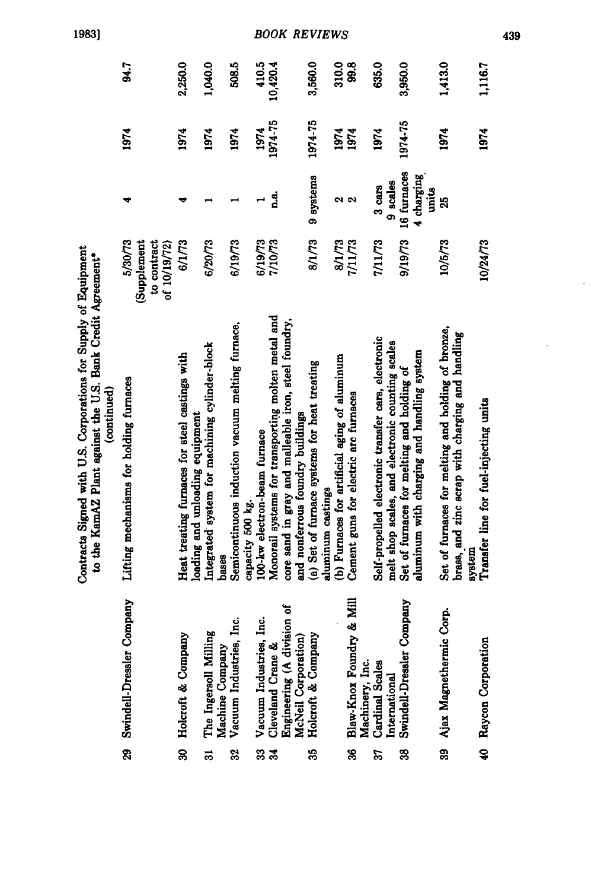|                                                                                                                                              | 94.7                                                   | 2,250.0                                                                           | 1,040.0                                                 | 508.5                                                                | 410.5                        | 10,420.4                                           |                                                                                          | 3,560.0                                                           | 310.0                                         | 99.8                                        | 635.0                                                                                                   | 3,950.0                                                                                  | 1,413.0                                                                                                          | 1,116.7                                |
|----------------------------------------------------------------------------------------------------------------------------------------------|--------------------------------------------------------|-----------------------------------------------------------------------------------|---------------------------------------------------------|----------------------------------------------------------------------|------------------------------|----------------------------------------------------|------------------------------------------------------------------------------------------|-------------------------------------------------------------------|-----------------------------------------------|---------------------------------------------|---------------------------------------------------------------------------------------------------------|------------------------------------------------------------------------------------------|------------------------------------------------------------------------------------------------------------------|----------------------------------------|
|                                                                                                                                              | 1974                                                   | 1974                                                                              | 1974                                                    | 1974                                                                 | 1974                         | 1974-75                                            |                                                                                          | 1974-75                                                           | 1974                                          | 1974                                        | 1974                                                                                                    | 1974-75                                                                                  | 1974                                                                                                             | 1974                                   |
|                                                                                                                                              | ₩                                                      | ᢦ                                                                                 |                                                         |                                                                      | $\overline{\phantom{0}}$     | n.a.                                               |                                                                                          | 9 systems                                                         |                                               | ี 2<br>ผ                                    | 9 scales<br>$3 \text{ cars}$                                                                            | 16 furnaces<br>4 charging<br>units                                                       | 25                                                                                                               |                                        |
|                                                                                                                                              | 5/30/73<br>to contract<br>(Supplement<br>of $10/19/72$ | 6/1/73                                                                            | 6/20/73                                                 | 6/19/73                                                              | 6/19/73                      | 7/10/73                                            |                                                                                          | 8/1/73                                                            | 8/1/73                                        | 7/11/73                                     | 7/11/73                                                                                                 | 9/19/73                                                                                  | 10/5/73                                                                                                          | 10/24/73                               |
| Contracts Signed with U.S. Corporations for Supply of Equipment<br>to the KamAZ Plant against the U.S. Bank Credit Agreement*<br>(continued) | Lifting mechanisms for holding furnaces                | Heat treating furnaces for steel castings with<br>loading and unloading equipment | Integrated system for machining cylinder-block<br>bases | Semicontinuous induction vacuum melting furnace,<br>capacity 500 kg. | 100-kw electron-beam furnace | Monorail systems for transporting molten metal and | core sand in gray and malleable iron, steel foundry,<br>and nonferrous foundry buildings | (a) Set of furnace systems for heat treating<br>aluminum castings | (b) Furnaces for artificial aging of aluminum | Cement guns for electric arc furnaces       | Self-propelled electronic transfer cars, electronic<br>melt shop scales, and electronic counting scales | aluminum with charging and handling system<br>Set of furnaces for melting and holding of | Set of furnaces for melting and holding of bronze,<br>brass, and zinc scrap with charging and handling<br>system | Transfer line for fuel-injecting units |
|                                                                                                                                              | r Company<br>Swindell-Dressler                         | Holcroft & Company                                                                | illing<br>Machine Company<br>The Ingersoll Mi           | Vacuum Industries, Inc.                                              | Vacuum Industries, Inc.      | Cleveland Crane &                                  | division of<br>McNeil Corporation)<br>Engineering (A                                     | pany<br>Holcroft & Com                                            |                                               | Blaw-Knox Foundry & Mill<br>Machinery, Inc. | Cardinal Scales<br>International                                                                        | r Company<br>Swindell-Dressler                                                           | Ajax Magnethermic Corp.                                                                                          | 40 Raycon Corporation                  |
|                                                                                                                                              | R,                                                     | Z                                                                                 | ಸ                                                       | 32                                                                   | 33                           | ್ಲಿ                                                |                                                                                          | S                                                                 |                                               | S                                           | Z                                                                                                       | ఇ                                                                                        | 39                                                                                                               |                                        |

1983]

**BOOK REVIEWS** 

439

 $\ddot{\phantom{0}}$ 

 $\cdot$